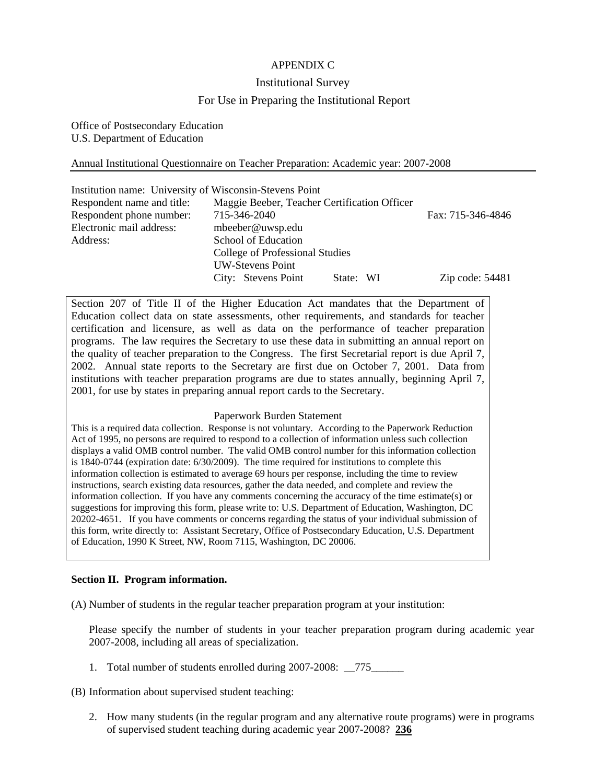# APPENDIX C

### Institutional Survey

## For Use in Preparing the Institutional Report

Office of Postsecondary Education U.S. Department of Education

### Annual Institutional Questionnaire on Teacher Preparation: Academic year: 2007-2008

| Institution name: University of Wisconsin-Stevens Point |                                              |           |                   |
|---------------------------------------------------------|----------------------------------------------|-----------|-------------------|
| Respondent name and title:                              | Maggie Beeber, Teacher Certification Officer |           |                   |
| Respondent phone number:                                | 715-346-2040                                 |           | Fax: 715-346-4846 |
| Electronic mail address:                                | mbeeber@uwsp.edu                             |           |                   |
| Address:                                                | School of Education                          |           |                   |
| College of Professional Studies                         |                                              |           |                   |
|                                                         | <b>UW-Stevens Point</b>                      |           |                   |
|                                                         | City: Stevens Point                          | State: WI | Zip code: $54481$ |

Section 207 of Title II of the Higher Education Act mandates that the Department of Education collect data on state assessments, other requirements, and standards for teacher certification and licensure, as well as data on the performance of teacher preparation programs. The law requires the Secretary to use these data in submitting an annual report on the quality of teacher preparation to the Congress. The first Secretarial report is due April 7, 2002. Annual state reports to the Secretary are first due on October 7, 2001. Data from institutions with teacher preparation programs are due to states annually, beginning April 7, 2001, for use by states in preparing annual report cards to the Secretary.

#### Paperwork Burden Statement

This is a required data collection. Response is not voluntary. According to the Paperwork Reduction Act of 1995, no persons are required to respond to a collection of information unless such collection displays a valid OMB control number. The valid OMB control number for this information collection is 1840-0744 (expiration date: 6/30/2009). The time required for institutions to complete this information collection is estimated to average 69 hours per response, including the time to review instructions, search existing data resources, gather the data needed, and complete and review the information collection. If you have any comments concerning the accuracy of the time estimate(s) or suggestions for improving this form, please write to: U.S. Department of Education, Washington, DC 20202-4651. If you have comments or concerns regarding the status of your individual submission of this form, write directly to: Assistant Secretary, Office of Postsecondary Education, U.S. Department of Education, 1990 K Street, NW, Room 7115, Washington, DC 20006.

### **Section II. Program information.**

(A) Number of students in the regular teacher preparation program at your institution:

Please specify the number of students in your teacher preparation program during academic year 2007-2008, including all areas of specialization.

1. Total number of students enrolled during 2007-2008: 775

(B) Information about supervised student teaching:

2. How many students (in the regular program and any alternative route programs) were in programs of supervised student teaching during academic year 2007-2008? **236**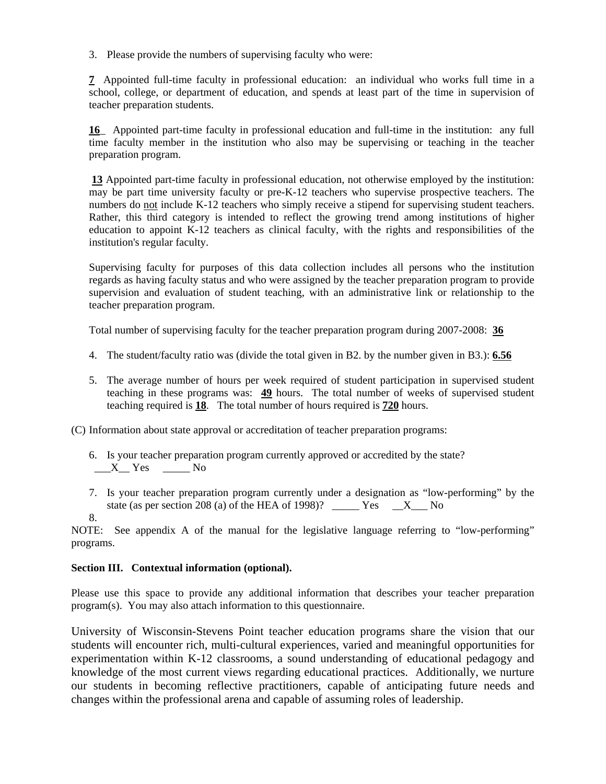3. Please provide the numbers of supervising faculty who were:

**7** Appointed full-time faculty in professional education: an individual who works full time in a school, college, or department of education, and spends at least part of the time in supervision of teacher preparation students.

**16**\_ Appointed part-time faculty in professional education and full-time in the institution: any full time faculty member in the institution who also may be supervising or teaching in the teacher preparation program.

**13** Appointed part-time faculty in professional education, not otherwise employed by the institution: may be part time university faculty or pre-K-12 teachers who supervise prospective teachers. The numbers do not include K-12 teachers who simply receive a stipend for supervising student teachers. Rather, this third category is intended to reflect the growing trend among institutions of higher education to appoint K-12 teachers as clinical faculty, with the rights and responsibilities of the institution's regular faculty.

Supervising faculty for purposes of this data collection includes all persons who the institution regards as having faculty status and who were assigned by the teacher preparation program to provide supervision and evaluation of student teaching, with an administrative link or relationship to the teacher preparation program.

Total number of supervising faculty for the teacher preparation program during 2007-2008: **36**

- 4. The student/faculty ratio was (divide the total given in B2. by the number given in B3.): **6.56**
- 5. The average number of hours per week required of student participation in supervised student teaching in these programs was: **49** hours. The total number of weeks of supervised student teaching required is **18**. The total number of hours required is **720** hours.

(C) Information about state approval or accreditation of teacher preparation programs:

- 6. Is your teacher preparation program currently approved or accredited by the state?  $X$ <sup>Yes</sup>  $\_\_$  No
- 7. Is your teacher preparation program currently under a designation as "low-performing" by the state (as per section 208 (a) of the HEA of 1998)? \_\_\_\_\_\_ Yes \_\_\_X\_\_\_ No
- 8.

NOTE: See appendix A of the manual for the legislative language referring to "low-performing" programs.

### **Section III. Contextual information (optional).**

Please use this space to provide any additional information that describes your teacher preparation program(s). You may also attach information to this questionnaire.

University of Wisconsin-Stevens Point teacher education programs share the vision that our students will encounter rich, multi-cultural experiences, varied and meaningful opportunities for experimentation within K-12 classrooms, a sound understanding of educational pedagogy and knowledge of the most current views regarding educational practices. Additionally, we nurture our students in becoming reflective practitioners, capable of anticipating future needs and changes within the professional arena and capable of assuming roles of leadership.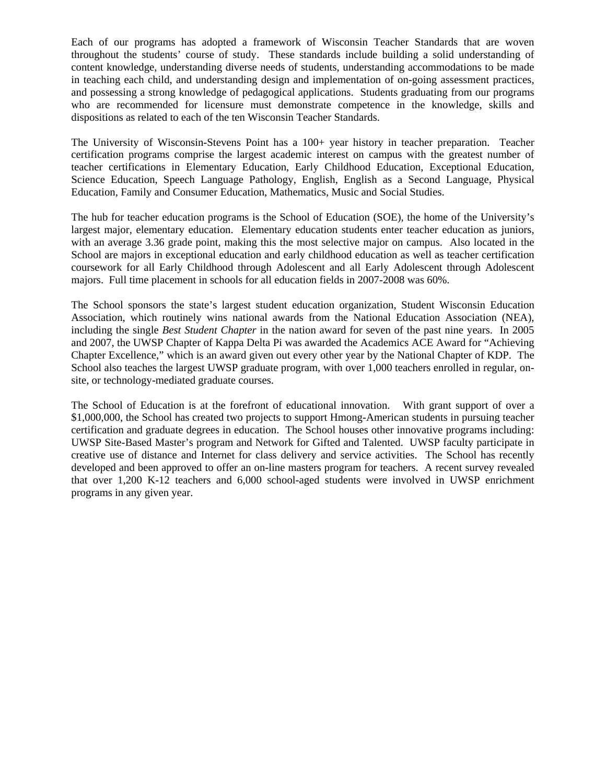Each of our programs has adopted a framework of Wisconsin Teacher Standards that are woven throughout the students' course of study. These standards include building a solid understanding of content knowledge, understanding diverse needs of students, understanding accommodations to be made in teaching each child, and understanding design and implementation of on-going assessment practices, and possessing a strong knowledge of pedagogical applications. Students graduating from our programs who are recommended for licensure must demonstrate competence in the knowledge, skills and dispositions as related to each of the ten Wisconsin Teacher Standards.

The University of Wisconsin-Stevens Point has a 100+ year history in teacher preparation. Teacher certification programs comprise the largest academic interest on campus with the greatest number of teacher certifications in Elementary Education, Early Childhood Education, Exceptional Education, Science Education, Speech Language Pathology, English, English as a Second Language, Physical Education, Family and Consumer Education, Mathematics, Music and Social Studies.

The hub for teacher education programs is the School of Education (SOE), the home of the University's largest major, elementary education. Elementary education students enter teacher education as juniors, with an average 3.36 grade point, making this the most selective major on campus. Also located in the School are majors in exceptional education and early childhood education as well as teacher certification coursework for all Early Childhood through Adolescent and all Early Adolescent through Adolescent majors. Full time placement in schools for all education fields in 2007-2008 was 60%.

The School sponsors the state's largest student education organization, Student Wisconsin Education Association, which routinely wins national awards from the National Education Association (NEA), including the single *Best Student Chapter* in the nation award for seven of the past nine years. In 2005 and 2007, the UWSP Chapter of Kappa Delta Pi was awarded the Academics ACE Award for "Achieving Chapter Excellence," which is an award given out every other year by the National Chapter of KDP. The School also teaches the largest UWSP graduate program, with over 1,000 teachers enrolled in regular, onsite, or technology-mediated graduate courses.

The School of Education is at the forefront of educational innovation. With grant support of over a \$1,000,000, the School has created two projects to support Hmong-American students in pursuing teacher certification and graduate degrees in education. The School houses other innovative programs including: UWSP Site-Based Master's program and Network for Gifted and Talented. UWSP faculty participate in creative use of distance and Internet for class delivery and service activities. The School has recently developed and been approved to offer an on-line masters program for teachers. A recent survey revealed that over 1,200 K-12 teachers and 6,000 school-aged students were involved in UWSP enrichment programs in any given year.